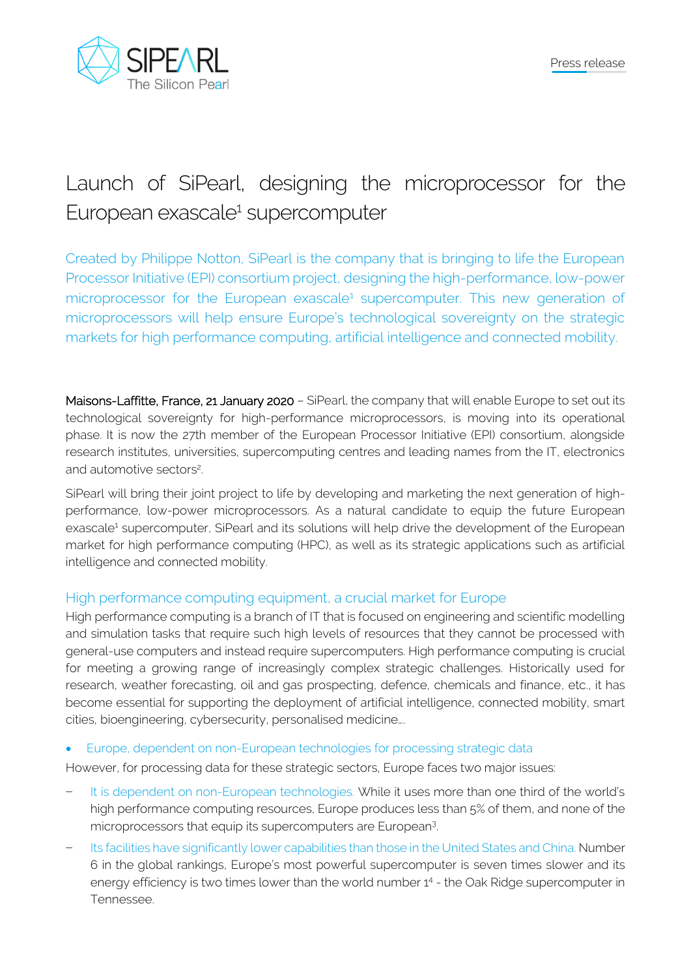

# Launch of SiPearl, designing the microprocessor for the European exascale<sup>1</sup> supercomputer

Created by Philippe Notton, SiPearl is the company that is bringing to life the European Processor Initiative (EPI) consortium project, designing the high-performance, low-power microprocessor for the European exascale<sup>1</sup> supercomputer. This new generation of microprocessors will help ensure Europe's technological sovereignty on the strategic markets for high performance computing, artificial intelligence and connected mobility.

Maisons-Laffitte, France, 21 January 2020 - SiPearl, the company that will enable Europe to set out its technological sovereignty for high-performance microprocessors, is moving into its operational phase. It is now the 27th member of the European Processor Initiative (EPI) consortium, alongside research institutes, universities, supercomputing centres and leading names from the IT, electronics and automotive sectors<sup>2</sup> .

SiPearl will bring their joint project to life by developing and marketing the next generation of highperformance, low-power microprocessors. As a natural candidate to equip the future European exascale<sup>1</sup> supercomputer, SiPearl and its solutions will help drive the development of the European market for high performance computing (HPC), as well as its strategic applications such as artificial intelligence and connected mobility.

## High performance computing equipment, a crucial market for Europe

High performance computing is a branch of IT that is focused on engineering and scientific modelling and simulation tasks that require such high levels of resources that they cannot be processed with general-use computers and instead require supercomputers. High performance computing is crucial for meeting a growing range of increasingly complex strategic challenges. Historically used for research, weather forecasting, oil and gas prospecting, defence, chemicals and finance, etc., it has become essential for supporting the deployment of artificial intelligence, connected mobility, smart cities, bioengineering, cybersecurity, personalised medicine….

• Europe, dependent on non-European technologies for processing strategic data

However, for processing data for these strategic sectors, Europe faces two major issues:

- It is dependent on non-European technologies. While it uses more than one third of the world's high performance computing resources, Europe produces less than 5% of them, and none of the microprocessors that equip its supercomputers are European<sup>3</sup> .
- − Its facilities have significantly lower capabilities than those in the United States and China. Number 6 in the global rankings, Europe's most powerful supercomputer is seven times slower and its energy efficiency is two times lower than the world number 1<sup>4</sup> - the Oak Ridge supercomputer in Tennessee.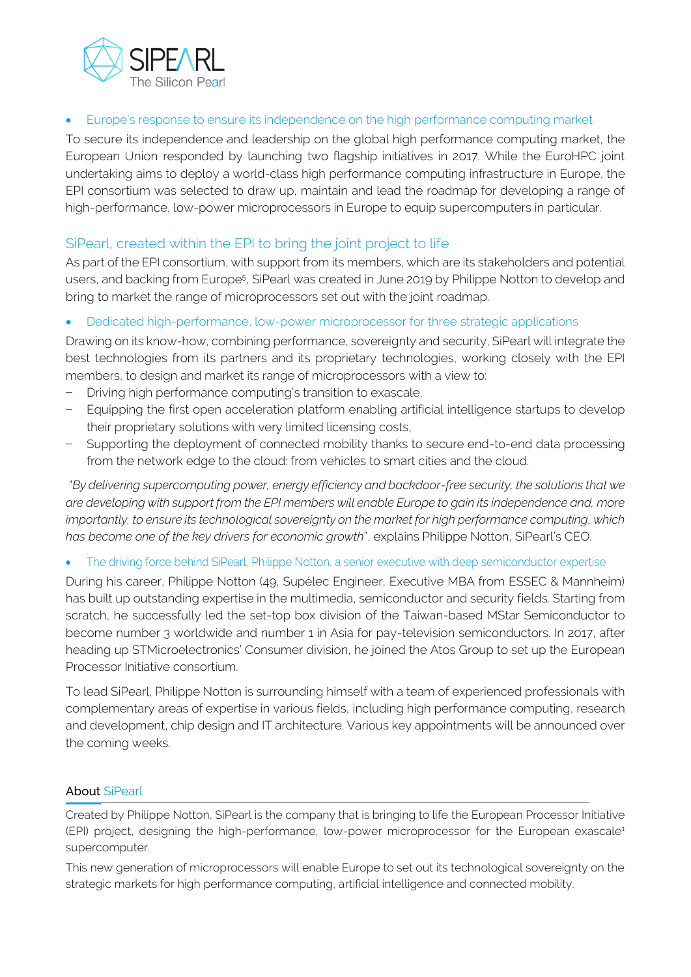

• Europe's response to ensure its independence on the high performance computing market

To secure its independence and leadership on the global high performance computing market, the European Union responded by launching two flagship initiatives in 2017. While the EuroHPC joint undertaking aims to deploy a world-class high performance computing infrastructure in Europe, the EPI consortium was selected to draw up, maintain and lead the roadmap for developing a range of high-performance, low-power microprocessors in Europe to equip supercomputers in particular.

### SiPearl, created within the EPI to bring the joint project to life

As part of the EPI consortium, with support from its members, which are its stakeholders and potential users, and backing from Europe<sup>5</sup>, SiPearl was created in June 2019 by Philippe Notton to develop and bring to market the range of microprocessors set out with the joint roadmap.

• Dedicated high-performance, low-power microprocessor for three strategic applications

Drawing on its know-how, combining performance, sovereignty and security, SiPearl will integrate the best technologies from its partners and its proprietary technologies, working closely with the EPI members, to design and market its range of microprocessors with a view to:

- − Driving high performance computing's transition to exascale,
- Equipping the first open acceleration platform enabling artificial intelligence startups to develop their proprietary solutions with very limited licensing costs,
- − Supporting the deployment of connected mobility thanks to secure end-to-end data processing from the network edge to the cloud: from vehicles to smart cities and the cloud.

"*By delivering supercomputing power, energy efficiency and backdoor-free security, the solutions that we are developing with support from the EPI members will enable Europe to gain its independence and, more importantly, to ensure its technological sovereignty on the market for high performance computing, which has become one of the key drivers for economic growth*", explains Philippe Notton, SiPearl's CEO.

The driving force behind SiPearl, Philippe Notton, a senior executive with deep semiconductor expertise

During his career, Philippe Notton (49, Supélec Engineer, Executive MBA from ESSEC & Mannheim) has built up outstanding expertise in the multimedia, semiconductor and security fields. Starting from scratch, he successfully led the set-top box division of the Taiwan-based MStar Semiconductor to become number 3 worldwide and number 1 in Asia for pay-television semiconductors. In 2017, after heading up STMicroelectronics' Consumer division, he joined the Atos Group to set up the European Processor Initiative consortium.

To lead SiPearl, Philippe Notton is surrounding himself with a team of experienced professionals with complementary areas of expertise in various fields, including high performance computing, research and development, chip design and IT architecture. Various key appointments will be announced over the coming weeks.

#### About SiPearl

Created by Philippe Notton, SiPearl is the company that is bringing to life the European Processor Initiative (EPI) project, designing the high-performance, low-power microprocessor for the European exascale<sup>1</sup> supercomputer.

This new generation of microprocessors will enable Europe to set out its technological sovereignty on the strategic markets for high performance computing, artificial intelligence and connected mobility.